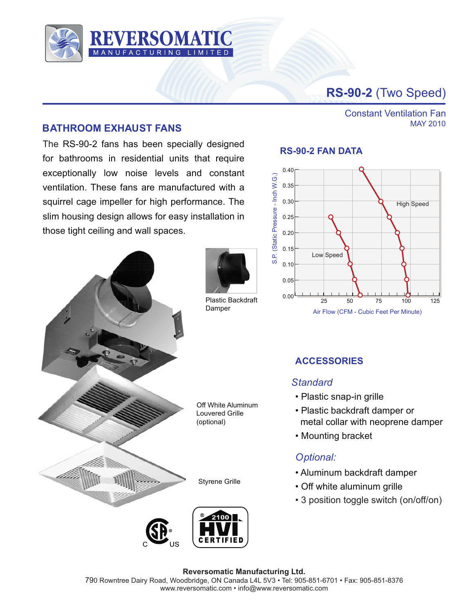

# **RS-90-2** (Two Speed)

Constant Ventilation Fan

MAY 2010

## **BATHROOM EXHAUST FANS**

The RS-90-2 fans has been specially designed for bathrooms in residential units that require exceptionally low noise levels and constant ventilation. These fans are manufactured with a squirrel cage impeller for high performance. The slim housing design allows for easy installation in those tight ceiling and wall spaces.





Plastic Backdraft Damper

**RS-90-2 FAN DATA**



# **ACCESSORIES**

## *Standard*

- Plastic snap-in grille
- Plastic backdraft damper or metal collar with neoprene damper
- Mounting bracket

## *Optional:*

- Aluminum backdraft damper
- Off white aluminum grille
- 3 position toggle switch (on/off/on)



#### **Reversomatic Manufacturing Ltd.** 790 Rowntree Dairy Road, Woodbridge, ON Canada L4L 5V3 • Tel: 905-851-6701 • Fax: 905-851-8376 www.reversomatic.com • info@www.reversomatic.com